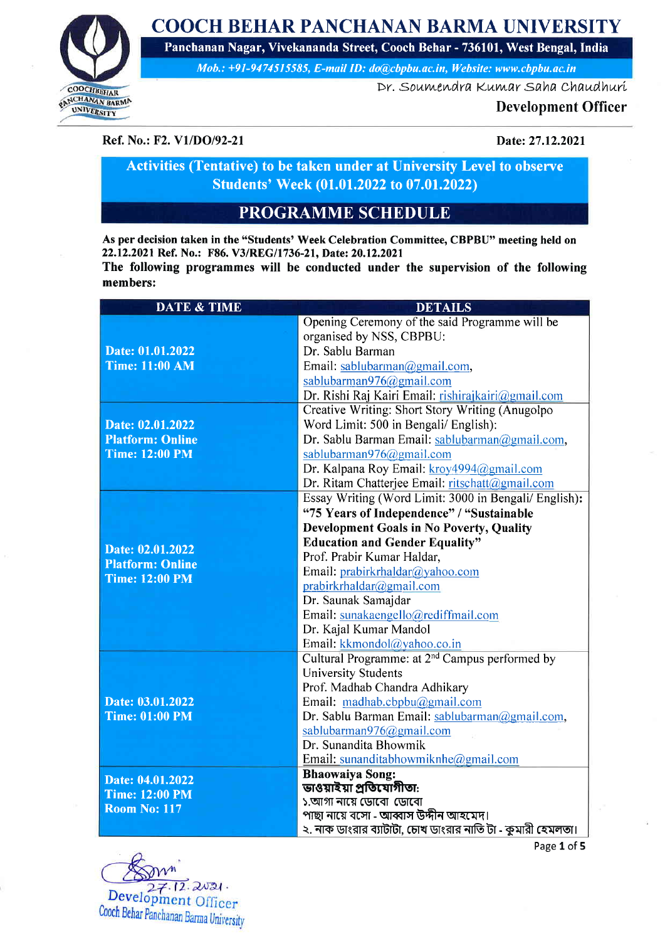COOCH BEHAR PANCHANAN BARMA UNIVERSITY Panchanan Nagar, Vivekananda Street, Cooch Behar - 736101, West Bengal, India



Mob.: +91-9474515585, E-mail ID: do@cbpbu.ac.in, Website: www.cbpbu.ac.in

Dr. Soumendra Kumar Saha Chaudhuri

#### Development Officer

Ref. No.: F2. V1/DO/92-21 Date: 27.12.2021

Activities (Tentative) to be taken under at University Level to observe Students' Week (01.01.2022 to 07.01.2022)

## PROGRAMME SCHEDULE

As per decision taken in the "Students' Week Celebration Committee, CBPBU" meeting held on 22.12.2021 Ref. No.: F86. V3/REG/1736-21, Date: 20.12.2021 The following programmes will be conducted under the supervision of the following

members:

| <b>DATE &amp; TIME</b>                                           | <b>DETAILS</b>                                                                                       |
|------------------------------------------------------------------|------------------------------------------------------------------------------------------------------|
|                                                                  | Opening Ceremony of the said Programme will be                                                       |
|                                                                  | organised by NSS, CBPBU:                                                                             |
| Date: 01.01.2022                                                 | Dr. Sablu Barman                                                                                     |
| <b>Time: 11:00 AM</b>                                            | Email: sablubarman@gmail.com,                                                                        |
|                                                                  | sablubarman976@gmail.com                                                                             |
|                                                                  | Dr. Rishi Raj Kairi Email: rishirajkairi@gmail.com                                                   |
|                                                                  | Creative Writing: Short Story Writing (Anugolpo                                                      |
| Date: 02.01.2022<br><b>Platform: Online</b>                      | Word Limit: 500 in Bengali/ English):                                                                |
|                                                                  | Dr. Sablu Barman Email: sablubarman@gmail.com,                                                       |
| <b>Time: 12:00 PM</b>                                            | sablubarman976@gmail.com                                                                             |
|                                                                  | Dr. Kalpana Roy Email: kroy4994@gmail.com                                                            |
|                                                                  | Dr. Ritam Chatterjee Email: ritschatt@gmail.com                                                      |
|                                                                  | Essay Writing (Word Limit: 3000 in Bengali/ English):                                                |
|                                                                  | "75 Years of Independence" / "Sustainable                                                            |
|                                                                  | Development Goals in No Poverty, Quality                                                             |
| Date: 02.01.2022                                                 | <b>Education and Gender Equality"</b>                                                                |
| <b>Platform: Online</b>                                          | Prof. Prabir Kumar Haldar,                                                                           |
| <b>Time: 12:00 PM</b>                                            | Email: prabirkrhaldar@yahoo.com                                                                      |
|                                                                  | prabirkrhaldar@gmail.com                                                                             |
|                                                                  | Dr. Saunak Samajdar                                                                                  |
|                                                                  | Email: sunakaengello@rediffmail.com                                                                  |
|                                                                  | Dr. Kajal Kumar Mandol                                                                               |
|                                                                  | Email: kkmondol@yahoo.co.in                                                                          |
|                                                                  | Cultural Programme: at 2 <sup>nd</sup> Campus performed by                                           |
|                                                                  | <b>University Students</b>                                                                           |
|                                                                  | Prof. Madhab Chandra Adhikary                                                                        |
| Date: 03.01.2022                                                 | Email: madhab.cbpbu@gmail.com                                                                        |
| <b>Time: 01:00 PM</b>                                            | Dr. Sablu Barman Email: sablubarman@gmail.com,                                                       |
|                                                                  | sablubarman976@gmail.com                                                                             |
|                                                                  | Dr. Sunandita Bhowmik                                                                                |
|                                                                  | Email: sunanditabhowmiknhe@gmail.com                                                                 |
| Date: 04.01.2022<br><b>Time: 12:00 PM</b><br><b>Room No: 117</b> | <b>Bhaowaiya Song:</b>                                                                               |
|                                                                  | ভাওয়াইয়া প্ৰতিযোগীতা:                                                                              |
|                                                                  | ১.আগা নায়ে ডোবো ডোবো                                                                                |
|                                                                  | পাছা নায়ে বসো - আব্বাস উদ্দীন আহমেদ।<br>২. নাক ডাংরার ব্যাটাটা, চোখ ডাংরার নাতি টা - কুমারী হেমলতা। |
|                                                                  |                                                                                                      |

 $.12.2021.$ Development Officer Cooch Behar Panchanan Barma University

Page 1 of 5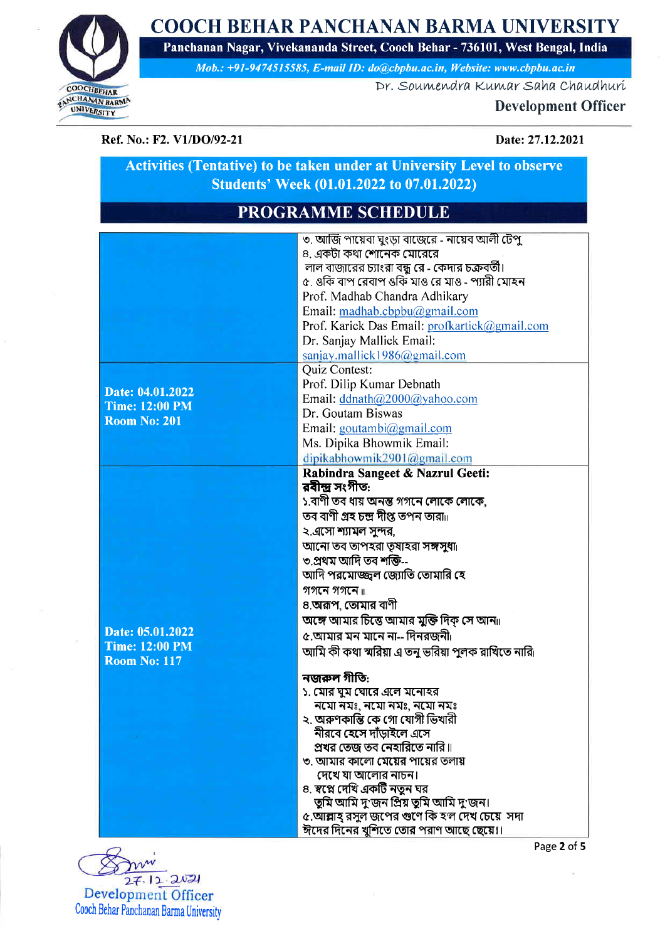COOCH BEHAR PANCHANAN BARMA UNIVERSITY Panchanan Nagar, Vivekananda Street, Cooch Behar - 736101, West Bengal, India



Mob.: +91-9474515585, E-mail ID: do@cbpbu.ac.in, Website: www.cbpbu.ac.in

Dr. Soumendra Kumar Saha Chaudhuri

## **Development Officer**

Ref. No.: F2. V1/DO/92-21

#### Date: 27.12.2021

## **Activities (Tentative) to be taken under at University Level to observe** Students' Week (01.01.2022 to 07.01.2022)

# **PROGRAMME SCHEDULE**

|                       | ৩. আজি পায়েবা ঘুংড়া বাজেরে - নায়েব আলী টেপু         |
|-----------------------|--------------------------------------------------------|
|                       | ৪. একটা কথা শোনেক মোরেরে                               |
|                       | লাল বাজারের চ্যাংরা বন্ধু রে - কেদার চক্রবর্তী।        |
|                       | ৫. ওকি বাপ রেবাপ ওকি মাও রে মাও - প্যারী মোহন          |
|                       | Prof. Madhab Chandra Adhikary                          |
|                       | Email: $madhab.cbbu@gmail.com$                         |
|                       | Prof. Karick Das Email: profkartick@gmail.com          |
|                       | Dr. Sanjay Mallick Email:                              |
|                       | sanjay.mallick1986@gmail.com                           |
|                       | Quiz Contest:                                          |
|                       | Prof. Dilip Kumar Debnath                              |
| Date: 04.01.2022      | Email: ddnath@2000@yahoo.com                           |
| <b>Time: 12:00 PM</b> | Dr. Goutam Biswas                                      |
| <b>Room No: 201</b>   | Email: goutambi@gmail.com                              |
|                       | Ms. Dipika Bhowmik Email:                              |
|                       | dipikabhowmik2901@gmail.com                            |
|                       | Rabindra Sangeet & Nazrul Geeti:                       |
|                       | রবীন্দ্র সংগীত:                                        |
|                       | ১.বাণী তব ধায় অনন্ত গগনে লোকে লোকে,                   |
|                       | তব বাণী <b>গ্ৰহ চন্দ্ৰ দীপ্ত</b> তপন তারা <sub>॥</sub> |
|                       | ২.এসো শ্যামল সুন্দর,                                   |
|                       | আনো তব তাপহরা তৃষাহরা সঙ্গসুধাা                        |
|                       | ৩.প্ৰথম আদি তব শক্তি--                                 |
|                       | আদি পরমোজ্জ্বল জ্যোতি তোমারি হে                        |
|                       | গগনে গগনে ⊪                                            |
|                       | ৪.অরূপ, তোমার বাণী                                     |
|                       | অঙ্গে আমার চিন্তে আমার মুক্তি দিক সে আনাা              |
| Date: 05.01.2022      | ৫.আমার মন মানে না-- দিনরজনী                            |
| <b>Time: 12:00 PM</b> | আমি কী কথা স্মরিয়া এ তনু ভরিয়া পুলক রাখিতে নারি      |
| <b>Room No: 117</b>   |                                                        |
|                       | নজরুল গীতি:                                            |
|                       | ১. মোর ঘুম ঘোরে এলে মনোহর                              |
|                       | নমো নমঃ, নমো নমঃ, নমো নমঃ                              |
|                       | ২. অরুণকান্তি কে গো যোগী ভিখারী                        |
|                       | নীরবে হেসে দাঁড়াইলে এসে                               |
|                       | প্রখর তেজ তব নেহারিতে নারি॥                            |
|                       | ৩. আমার কালো মেয়ের পায়ের তলায়                       |
|                       | দেখে যা আলোর নাচন।<br>৪. স্বপ্নে দেখি একটি নতুন ঘর     |
|                       | তুমি আমি দু'জন প্ৰিয় তুমি আমি দু'জন।                  |
|                       | ৫.আল্লাহ্ রসুল জপের গুণে কি হ'ল দেখ চেয়ে  সদা         |
|                       | ঈদের দিনের খুশিতে তোর পরাণ আছে ছেয়ে।।                 |
|                       |                                                        |



Page 2 of 5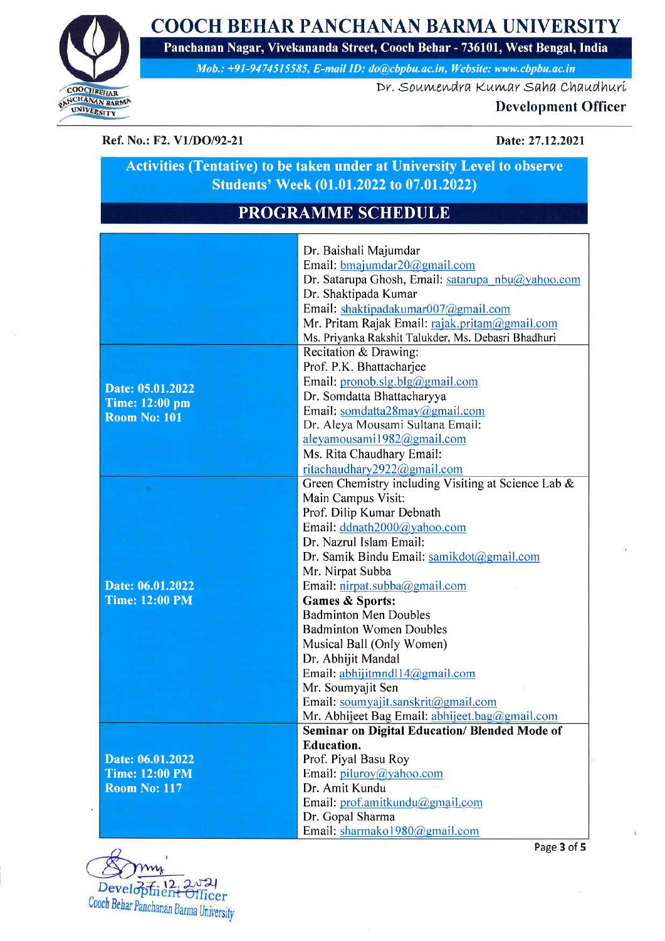COOCH BEHAR PANCHANAN BARMA UNIVERSITY Panchanan Nagar, Vivekananda Street, Cooch Behar - 736101, West Bengal, India



Mob.: +91-9474515585, E-mail ID: do@cbpbu.ac.in, Website: www.cbpbu.ac.in

Dr. Soumendra Kumar Saha Chaudhuri

### Development Officer

Ref. No.: F2. V1/DO/92-21 Date: 27.12.2021

## Activities (Tentative) to be taken under at University Level to observe Students' Week (01.01.2022 to 07.01.2022)

# PROGRAMME SCHEDULE

| Email: bmajumdar20@gmail.com<br>Dr. Satarupa Ghosh, Email: satarupa nbu@yahoo.com<br>Dr. Shaktipada Kumar<br>Email: shaktipadakumar007@gmail.com<br>Mr. Pritam Rajak Email: rajak.pritam@gmail.com<br>Ms. Priyanka Rakshit Talukder, Ms. Debasri Bhadhuri<br>Recitation & Drawing:<br>Prof. P.K. Bhattacharjee<br>Email: pronob.slg.blg@gmail.com<br>Date: 05.01.2022<br>Dr. Somdatta Bhattacharyya<br><b>Time: 12:00 pm</b><br>Email: somdatta28may@gmail.com<br><b>Room No: 101</b><br>Dr. Aleya Mousami Sultana Email:<br>aleyamousami1982@gmail.com |  |                           |
|---------------------------------------------------------------------------------------------------------------------------------------------------------------------------------------------------------------------------------------------------------------------------------------------------------------------------------------------------------------------------------------------------------------------------------------------------------------------------------------------------------------------------------------------------------|--|---------------------------|
|                                                                                                                                                                                                                                                                                                                                                                                                                                                                                                                                                         |  | Dr. Baishali Majumdar     |
|                                                                                                                                                                                                                                                                                                                                                                                                                                                                                                                                                         |  |                           |
|                                                                                                                                                                                                                                                                                                                                                                                                                                                                                                                                                         |  |                           |
|                                                                                                                                                                                                                                                                                                                                                                                                                                                                                                                                                         |  |                           |
|                                                                                                                                                                                                                                                                                                                                                                                                                                                                                                                                                         |  |                           |
|                                                                                                                                                                                                                                                                                                                                                                                                                                                                                                                                                         |  |                           |
|                                                                                                                                                                                                                                                                                                                                                                                                                                                                                                                                                         |  |                           |
|                                                                                                                                                                                                                                                                                                                                                                                                                                                                                                                                                         |  |                           |
|                                                                                                                                                                                                                                                                                                                                                                                                                                                                                                                                                         |  |                           |
|                                                                                                                                                                                                                                                                                                                                                                                                                                                                                                                                                         |  |                           |
|                                                                                                                                                                                                                                                                                                                                                                                                                                                                                                                                                         |  |                           |
|                                                                                                                                                                                                                                                                                                                                                                                                                                                                                                                                                         |  |                           |
|                                                                                                                                                                                                                                                                                                                                                                                                                                                                                                                                                         |  |                           |
|                                                                                                                                                                                                                                                                                                                                                                                                                                                                                                                                                         |  |                           |
|                                                                                                                                                                                                                                                                                                                                                                                                                                                                                                                                                         |  | Ms. Rita Chaudhary Email: |
| ritachaudhary2922@gmail.com                                                                                                                                                                                                                                                                                                                                                                                                                                                                                                                             |  |                           |
| Green Chemistry including Visiting at Science Lab &                                                                                                                                                                                                                                                                                                                                                                                                                                                                                                     |  |                           |
| Main Campus Visit:                                                                                                                                                                                                                                                                                                                                                                                                                                                                                                                                      |  |                           |
| Prof. Dilip Kumar Debnath                                                                                                                                                                                                                                                                                                                                                                                                                                                                                                                               |  |                           |
| Email: ddnath2000@yahoo.com                                                                                                                                                                                                                                                                                                                                                                                                                                                                                                                             |  |                           |
| Dr. Nazrul Islam Email:                                                                                                                                                                                                                                                                                                                                                                                                                                                                                                                                 |  |                           |
| Dr. Samik Bindu Email: samikdot@gmail.com                                                                                                                                                                                                                                                                                                                                                                                                                                                                                                               |  |                           |
| Mr. Nirpat Subba                                                                                                                                                                                                                                                                                                                                                                                                                                                                                                                                        |  |                           |
| Date: 06.01.2022<br>Email: nirpat.subba@gmail.com                                                                                                                                                                                                                                                                                                                                                                                                                                                                                                       |  |                           |
| <b>Time: 12:00 PM</b><br>Games & Sports:                                                                                                                                                                                                                                                                                                                                                                                                                                                                                                                |  |                           |
| <b>Badminton Men Doubles</b>                                                                                                                                                                                                                                                                                                                                                                                                                                                                                                                            |  |                           |
| <b>Badminton Women Doubles</b>                                                                                                                                                                                                                                                                                                                                                                                                                                                                                                                          |  |                           |
| Musical Ball (Only Women)                                                                                                                                                                                                                                                                                                                                                                                                                                                                                                                               |  |                           |
| Dr. Abhijit Mandal                                                                                                                                                                                                                                                                                                                                                                                                                                                                                                                                      |  |                           |
| Email: abhijitmndl14@gmail.com                                                                                                                                                                                                                                                                                                                                                                                                                                                                                                                          |  |                           |
| Mr. Soumyajit Sen                                                                                                                                                                                                                                                                                                                                                                                                                                                                                                                                       |  |                           |
| Email: soumyajit.sanskrit@gmail.com                                                                                                                                                                                                                                                                                                                                                                                                                                                                                                                     |  |                           |
| Mr. Abhijeet Bag Email: abhijeet.bag@gmail.com                                                                                                                                                                                                                                                                                                                                                                                                                                                                                                          |  |                           |
| Seminar on Digital Education/ Blended Mode of                                                                                                                                                                                                                                                                                                                                                                                                                                                                                                           |  |                           |
| <b>Education.</b>                                                                                                                                                                                                                                                                                                                                                                                                                                                                                                                                       |  |                           |
| Prof. Piyal Basu Roy<br>Date: 06.01.2022                                                                                                                                                                                                                                                                                                                                                                                                                                                                                                                |  |                           |
| Email: piluroy@yahoo.com<br><b>Time: 12:00 PM</b>                                                                                                                                                                                                                                                                                                                                                                                                                                                                                                       |  |                           |
| Dr. Amit Kundu<br><b>Room No: 117</b>                                                                                                                                                                                                                                                                                                                                                                                                                                                                                                                   |  |                           |
| Email: prof.amitkundu@gmail.com                                                                                                                                                                                                                                                                                                                                                                                                                                                                                                                         |  |                           |
| Dr. Gopal Sharma                                                                                                                                                                                                                                                                                                                                                                                                                                                                                                                                        |  |                           |
| Email: sharmako 1980@gmail.com                                                                                                                                                                                                                                                                                                                                                                                                                                                                                                                          |  |                           |

my Development Officer Cooch Behar Panchanan Barma University

Page 3 of 5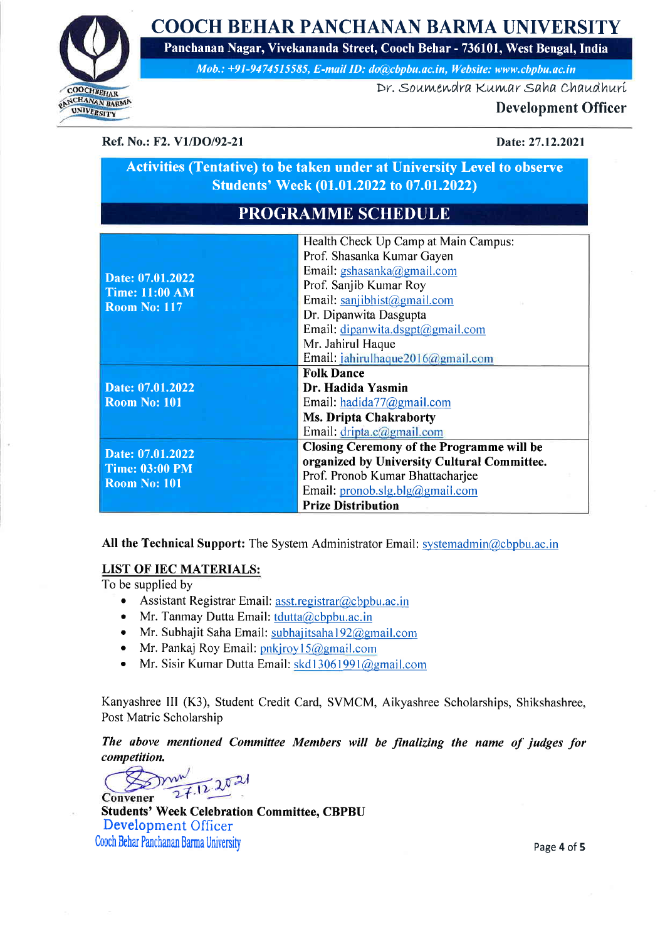COOCH BEHAR PANCHANAN BARMA UNIVERSITY



Panchanan Nagar, Vivekananda Street, Cooch Behar - 736101, West Bengal, India Mob.:  $+91-9474515585$ , E-mail ID: do@cbpbu.ac.in, Website: www.cbpbu.ac.in

Dr. Soumendra Kumar Saha Chaudhuri

#### Development Officer

Ref. No.: F2. V1/DO/92-21 Date: 27.12.2021

### Activities (Tentative) to be taken under at University Level to observe Students' Week (01.01.2022 to 07.01.2022)

# PROGRAMME SCHEDULE

| Date: 07.01.2022<br><b>Time: 11:00 AM</b><br><b>Room No: 117</b> | Health Check Up Camp at Main Campus:        |
|------------------------------------------------------------------|---------------------------------------------|
|                                                                  | Prof. Shasanka Kumar Gayen                  |
|                                                                  | Email: gshasanka@gmail.com                  |
|                                                                  | Prof. Sanjib Kumar Roy                      |
|                                                                  | Email: sanjibhist@gmail.com                 |
|                                                                  | Dr. Dipanwita Dasgupta                      |
|                                                                  | Email: dipanwita.dsgpt@gmail.com            |
|                                                                  | Mr. Jahirul Haque                           |
|                                                                  | Email: jahirulhaque2016@gmail.com           |
|                                                                  | <b>Folk Dance</b>                           |
| Date: 07.01.2022                                                 | Dr. Hadida Yasmin                           |
| <b>Room No: 101</b>                                              | Email: hadida77@gmail.com                   |
|                                                                  | <b>Ms. Dripta Chakraborty</b>               |
|                                                                  | Email: dripta.c@gmail.com                   |
| Date: 07.01.2022<br><b>Time: 03:00 PM</b><br><b>Room No: 101</b> | Closing Ceremony of the Programme will be   |
|                                                                  | organized by University Cultural Committee. |
|                                                                  | Prof. Pronob Kumar Bhattacharjee            |
|                                                                  | Email: pronob.slg.blg@gmail.com             |
|                                                                  | <b>Prize Distribution</b>                   |

All the Technical Support: The System Administrator Email: systemadmin@cbpbu.ac.in

#### LIST OF IEC MATERIALS:

To be supplied by

- Assistant Registrar Email: asst.registrar@cbpbu.ac.in
- Mr. Tanmay Dutta Email:  $tdutta@cbpbu.ac.in$
- Mr. Subhajit Saha Email: subhajitsaha 192@gmail.com
- Mr. Pankaj Roy Email:  $pnkjroy15@gmail.com$
- Mr. Sisir Kumar Dutta Email:  $skd13061991@gmail.com$

Kanyashree III (K3), Student Credit Card, SVMCM, Aikyashree Scholarships, Shikshashree, Post Matric Scholarship

The above mentioned Committee Members will be finalizing the name of judges for competition.

 $7.12.2021$ 

Convener Students' Week Celebration Committee, CBPBU Development Officer Cooch Behar Panchanan Barma University

Page 4 of 5